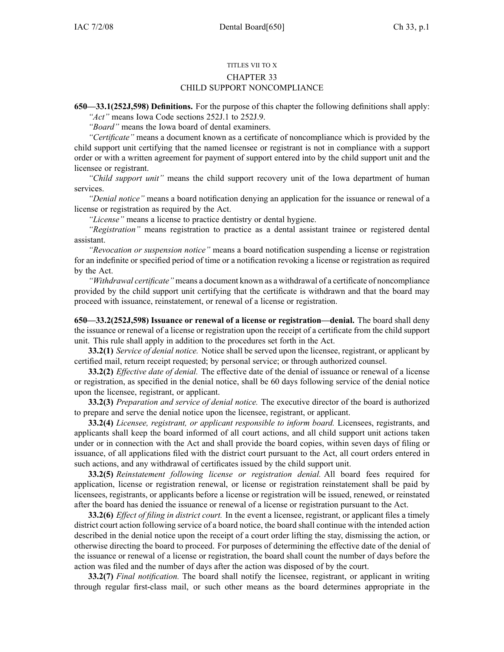## TITLES VII TO X CHAPTER 33 CHILD SUPPORT NONCOMPLIANCE

**650—33.1(252J,598) Definitions.** For the purpose of this chapter the following definitions shall apply:

*"Act"* means Iowa Code sections 252J.1 to 252J.9. *"Board"* means the Iowa board of dental examiners.

*"Certificate"* means <sup>a</sup> document known as <sup>a</sup> certificate of noncompliance which is provided by the child suppor<sup>t</sup> unit certifying that the named licensee or registrant is not in compliance with <sup>a</sup> suppor<sup>t</sup> order or with <sup>a</sup> written agreemen<sup>t</sup> for paymen<sup>t</sup> of suppor<sup>t</sup> entered into by the child suppor<sup>t</sup> unit and the licensee or registrant.

*"Child suppor<sup>t</sup> unit"* means the child suppor<sup>t</sup> recovery unit of the Iowa department of human services.

*"Denial notice"* means <sup>a</sup> board notification denying an application for the issuance or renewal of <sup>a</sup> license or registration as required by the Act.

*"License"* means <sup>a</sup> license to practice dentistry or dental hygiene.

*"Registration"* means registration to practice as <sup>a</sup> dental assistant trainee or registered dental assistant.

*"Revocation or suspension notice"* means <sup>a</sup> board notification suspending <sup>a</sup> license or registration for an indefinite or specified period of time or <sup>a</sup> notification revoking <sup>a</sup> license or registration as required by the Act.

*"Withdrawal certificate"* means <sup>a</sup> document known as <sup>a</sup> withdrawal of <sup>a</sup> certificate of noncompliance provided by the child suppor<sup>t</sup> unit certifying that the certificate is withdrawn and that the board may proceed with issuance, reinstatement, or renewal of <sup>a</sup> license or registration.

**650—33.2(252J,598) Issuance or renewal of <sup>a</sup> license or registration—denial.** The board shall deny the issuance or renewal of <sup>a</sup> license or registration upon the receipt of <sup>a</sup> certificate from the child suppor<sup>t</sup> unit. This rule shall apply in addition to the procedures set forth in the Act.

**33.2(1)** *Service of denial notice.* Notice shall be served upon the licensee, registrant, or applicant by certified mail, return receipt requested; by personal service; or through authorized counsel.

**33.2(2)** *Effective date of denial.* The effective date of the denial of issuance or renewal of <sup>a</sup> license or registration, as specified in the denial notice, shall be 60 days following service of the denial notice upon the licensee, registrant, or applicant.

**33.2(3)** *Preparation and service of denial notice.* The executive director of the board is authorized to prepare and serve the denial notice upon the licensee, registrant, or applicant.

**33.2(4)** *Licensee, registrant, or applicant responsible to inform board.* Licensees, registrants, and applicants shall keep the board informed of all court actions, and all child suppor<sup>t</sup> unit actions taken under or in connection with the Act and shall provide the board copies, within seven days of filing or issuance, of all applications filed with the district court pursuan<sup>t</sup> to the Act, all court orders entered in such actions, and any withdrawal of certificates issued by the child suppor<sup>t</sup> unit.

**33.2(5)** *Reinstatement following license or registration denial.* All board fees required for application, license or registration renewal, or license or registration reinstatement shall be paid by licensees, registrants, or applicants before <sup>a</sup> license or registration will be issued, renewed, or reinstated after the board has denied the issuance or renewal of <sup>a</sup> license or registration pursuan<sup>t</sup> to the Act.

**33.2(6)** *Effect of filing in district court.* In the event <sup>a</sup> licensee, registrant, or applicant files <sup>a</sup> timely district court action following service of <sup>a</sup> board notice, the board shall continue with the intended action described in the denial notice upon the receipt of <sup>a</sup> court order lifting the stay, dismissing the action, or otherwise directing the board to proceed. For purposes of determining the effective date of the denial of the issuance or renewal of <sup>a</sup> license or registration, the board shall count the number of days before the action was filed and the number of days after the action was disposed of by the court.

**33.2(7)** *Final notification.* The board shall notify the licensee, registrant, or applicant in writing through regular first-class mail, or such other means as the board determines appropriate in the